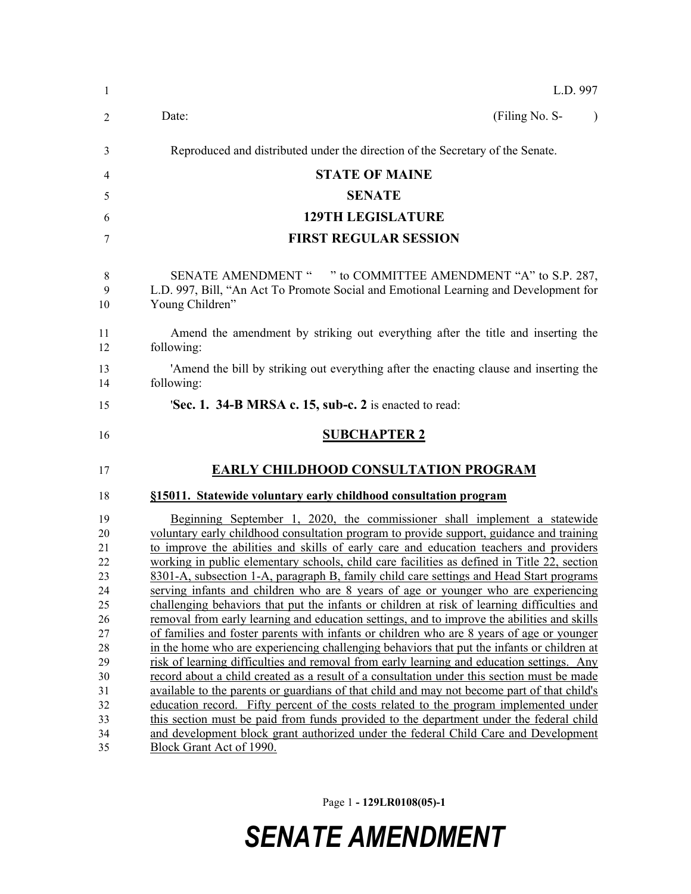| -1           | L.D. 997                                                                                                                                                                               |
|--------------|----------------------------------------------------------------------------------------------------------------------------------------------------------------------------------------|
| 2            | (Filing No. S-<br>Date:<br>$\lambda$                                                                                                                                                   |
| 3            | Reproduced and distributed under the direction of the Secretary of the Senate.                                                                                                         |
| 4            | <b>STATE OF MAINE</b>                                                                                                                                                                  |
| 5            | <b>SENATE</b>                                                                                                                                                                          |
| 6            | <b>129TH LEGISLATURE</b>                                                                                                                                                               |
| 7            | <b>FIRST REGULAR SESSION</b>                                                                                                                                                           |
| 8<br>9<br>10 | SENATE AMENDMENT " " to COMMITTEE AMENDMENT "A" to S.P. 287,<br>L.D. 997, Bill, "An Act To Promote Social and Emotional Learning and Development for<br>Young Children"                |
| 11<br>12     | Amend the amendment by striking out everything after the title and inserting the<br>following:                                                                                         |
| 13<br>14     | 'Amend the bill by striking out everything after the enacting clause and inserting the<br>following:                                                                                   |
| 15           | 'Sec. 1. 34-B MRSA c. 15, sub-c. 2 is enacted to read:                                                                                                                                 |
| 16           | <b>SUBCHAPTER 2</b>                                                                                                                                                                    |
| 17           | <b>EARLY CHILDHOOD CONSULTATION PROGRAM</b>                                                                                                                                            |
| 18           | §15011. Statewide voluntary early childhood consultation program                                                                                                                       |
| 19           | Beginning September 1, 2020, the commissioner shall implement a statewide                                                                                                              |
| 20           | voluntary early childhood consultation program to provide support, guidance and training                                                                                               |
| 21           | to improve the abilities and skills of early care and education teachers and providers                                                                                                 |
| 22<br>23     | working in public elementary schools, child care facilities as defined in Title 22, section<br>8301-A, subsection 1-A, paragraph B, family child care settings and Head Start programs |
| 24           | serving infants and children who are 8 years of age or younger who are experiencing                                                                                                    |
| 25           | challenging behaviors that put the infants or children at risk of learning difficulties and                                                                                            |
| 26           | removal from early learning and education settings, and to improve the abilities and skills                                                                                            |
| 27           | of families and foster parents with infants or children who are 8 years of age or younger                                                                                              |
| 28           | in the home who are experiencing challenging behaviors that put the infants or children at                                                                                             |
| 29           | risk of learning difficulties and removal from early learning and education settings. Any                                                                                              |
| 30           | record about a child created as a result of a consultation under this section must be made                                                                                             |
| 31           | available to the parents or guardians of that child and may not become part of that child's                                                                                            |
| 32           | education record. Fifty percent of the costs related to the program implemented under                                                                                                  |
|              |                                                                                                                                                                                        |
| 33<br>34     | this section must be paid from funds provided to the department under the federal child<br>and development block grant authorized under the federal Child Care and Development         |

Page 1 **- 129LR0108(05)-1**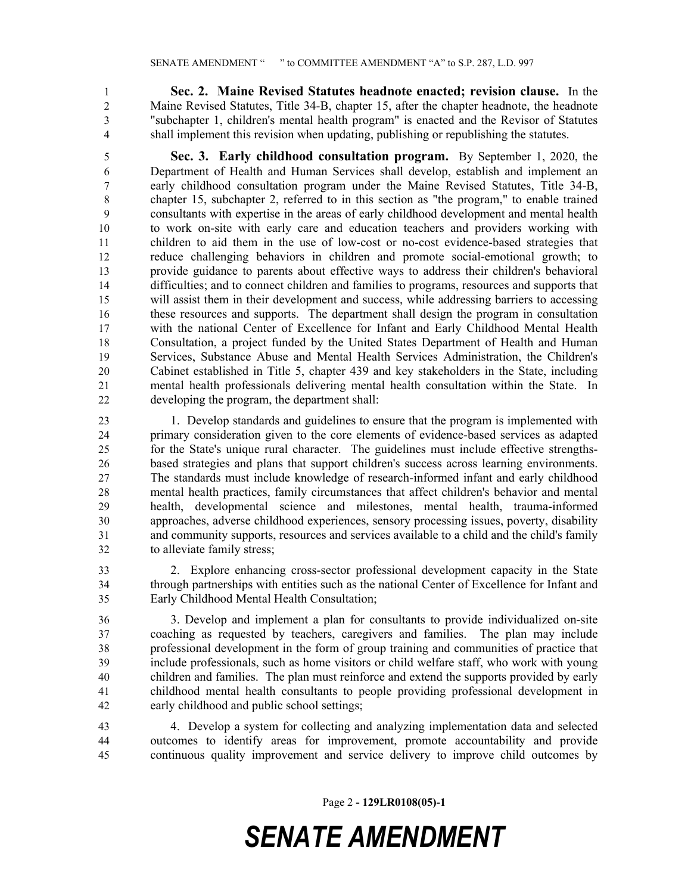**Sec. 2. Maine Revised Statutes headnote enacted; revision clause.** In the Maine Revised Statutes, Title 34-B, chapter 15, after the chapter headnote, the headnote "subchapter 1, children's mental health program" is enacted and the Revisor of Statutes shall implement this revision when updating, publishing or republishing the statutes.

 **Sec. 3. Early childhood consultation program.** By September 1, 2020, the Department of Health and Human Services shall develop, establish and implement an early childhood consultation program under the Maine Revised Statutes, Title 34-B, chapter 15, subchapter 2, referred to in this section as "the program," to enable trained consultants with expertise in the areas of early childhood development and mental health to work on-site with early care and education teachers and providers working with children to aid them in the use of low-cost or no-cost evidence-based strategies that reduce challenging behaviors in children and promote social-emotional growth; to provide guidance to parents about effective ways to address their children's behavioral difficulties; and to connect children and families to programs, resources and supports that will assist them in their development and success, while addressing barriers to accessing these resources and supports. The department shall design the program in consultation with the national Center of Excellence for Infant and Early Childhood Mental Health Consultation, a project funded by the United States Department of Health and Human Services, Substance Abuse and Mental Health Services Administration, the Children's Cabinet established in Title 5, chapter 439 and key stakeholders in the State, including mental health professionals delivering mental health consultation within the State. In developing the program, the department shall:

 1. Develop standards and guidelines to ensure that the program is implemented with primary consideration given to the core elements of evidence-based services as adapted for the State's unique rural character. The guidelines must include effective strengths- based strategies and plans that support children's success across learning environments. The standards must include knowledge of research-informed infant and early childhood mental health practices, family circumstances that affect children's behavior and mental health, developmental science and milestones, mental health, trauma-informed approaches, adverse childhood experiences, sensory processing issues, poverty, disability and community supports, resources and services available to a child and the child's family to alleviate family stress;

 2. Explore enhancing cross-sector professional development capacity in the State through partnerships with entities such as the national Center of Excellence for Infant and Early Childhood Mental Health Consultation;

 3. Develop and implement a plan for consultants to provide individualized on-site coaching as requested by teachers, caregivers and families. The plan may include professional development in the form of group training and communities of practice that include professionals, such as home visitors or child welfare staff, who work with young children and families. The plan must reinforce and extend the supports provided by early childhood mental health consultants to people providing professional development in early childhood and public school settings;

 4. Develop a system for collecting and analyzing implementation data and selected outcomes to identify areas for improvement, promote accountability and provide continuous quality improvement and service delivery to improve child outcomes by

Page 2 **- 129LR0108(05)-1**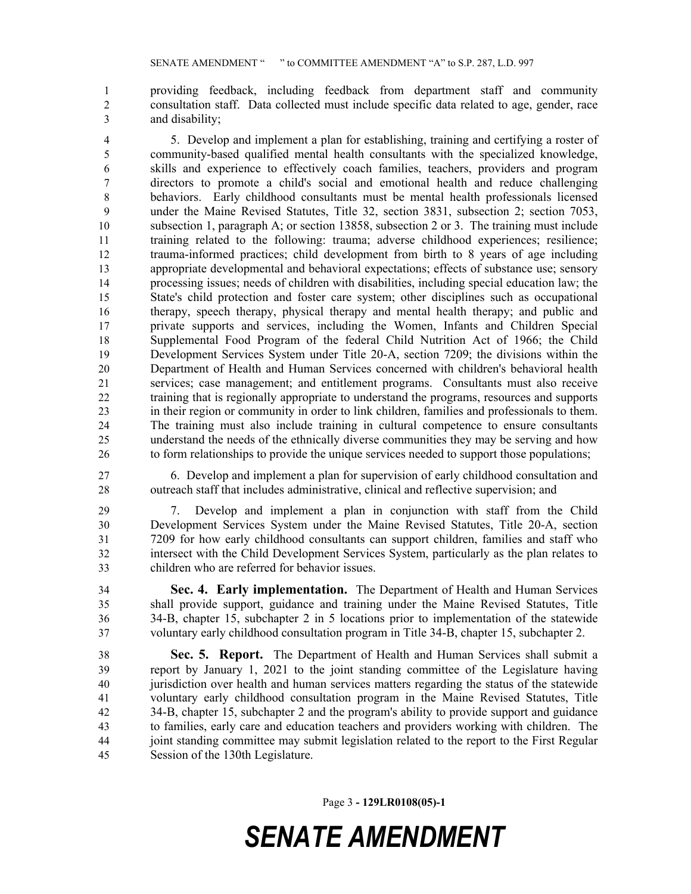providing feedback, including feedback from department staff and community consultation staff. Data collected must include specific data related to age, gender, race and disability;

 5. Develop and implement a plan for establishing, training and certifying a roster of community-based qualified mental health consultants with the specialized knowledge, skills and experience to effectively coach families, teachers, providers and program directors to promote a child's social and emotional health and reduce challenging behaviors. Early childhood consultants must be mental health professionals licensed under the Maine Revised Statutes, Title 32, section 3831, subsection 2; section 7053, subsection 1, paragraph A; or section 13858, subsection 2 or 3. The training must include training related to the following: trauma; adverse childhood experiences; resilience; trauma-informed practices; child development from birth to 8 years of age including appropriate developmental and behavioral expectations; effects of substance use; sensory processing issues; needs of children with disabilities, including special education law; the State's child protection and foster care system; other disciplines such as occupational therapy, speech therapy, physical therapy and mental health therapy; and public and private supports and services, including the Women, Infants and Children Special Supplemental Food Program of the federal Child Nutrition Act of 1966; the Child Development Services System under Title 20-A, section 7209; the divisions within the Department of Health and Human Services concerned with children's behavioral health services; case management; and entitlement programs. Consultants must also receive training that is regionally appropriate to understand the programs, resources and supports in their region or community in order to link children, families and professionals to them. The training must also include training in cultural competence to ensure consultants understand the needs of the ethnically diverse communities they may be serving and how to form relationships to provide the unique services needed to support those populations;

 6. Develop and implement a plan for supervision of early childhood consultation and outreach staff that includes administrative, clinical and reflective supervision; and

 7. Develop and implement a plan in conjunction with staff from the Child Development Services System under the Maine Revised Statutes, Title 20-A, section 7209 for how early childhood consultants can support children, families and staff who intersect with the Child Development Services System, particularly as the plan relates to children who are referred for behavior issues.

 **Sec. 4. Early implementation.** The Department of Health and Human Services shall provide support, guidance and training under the Maine Revised Statutes, Title 34-B, chapter 15, subchapter 2 in 5 locations prior to implementation of the statewide voluntary early childhood consultation program in Title 34-B, chapter 15, subchapter 2.

 **Sec. 5. Report.** The Department of Health and Human Services shall submit a report by January 1, 2021 to the joint standing committee of the Legislature having jurisdiction over health and human services matters regarding the status of the statewide voluntary early childhood consultation program in the Maine Revised Statutes, Title 34-B, chapter 15, subchapter 2 and the program's ability to provide support and guidance to families, early care and education teachers and providers working with children. The joint standing committee may submit legislation related to the report to the First Regular Session of the 130th Legislature.

Page 3 **- 129LR0108(05)-1**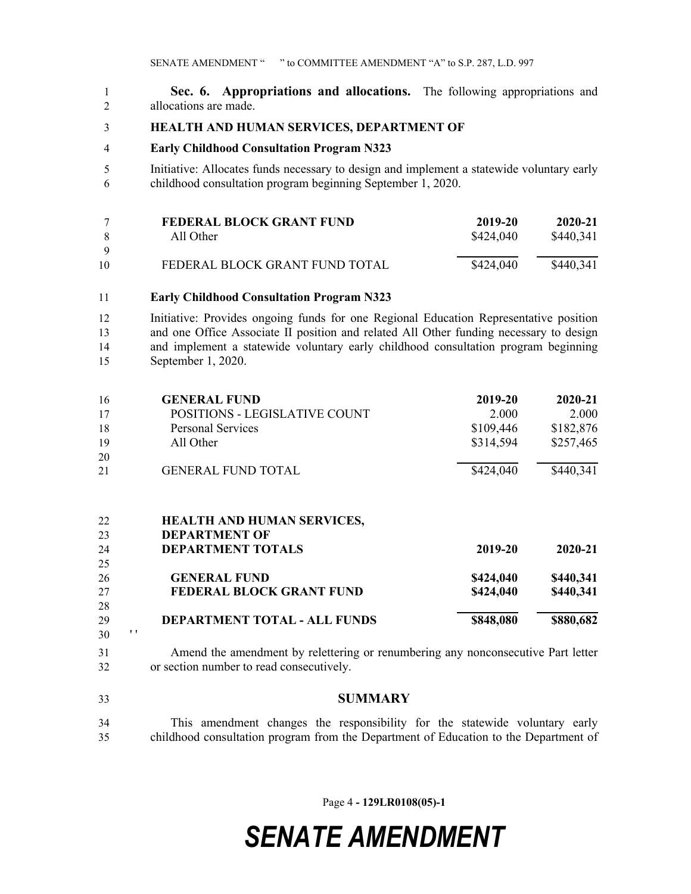**Sec. 6. Appropriations and allocations.** The following appropriations and allocations are made.

#### **HEALTH AND HUMAN SERVICES, DEPARTMENT OF**

#### **Early Childhood Consultation Program N323**

 Initiative: Allocates funds necessary to design and implement a statewide voluntary early childhood consultation program beginning September 1, 2020.

|     | FEDERAL BLOCK GRANT FUND       | 2019-20   | 2020-21   |
|-----|--------------------------------|-----------|-----------|
| - 8 | All Other                      | \$424,040 | \$440,341 |
| - Q |                                |           |           |
| 10  | FEDERAL BLOCK GRANT FUND TOTAL | \$424,040 | \$440,341 |
|     |                                |           |           |

**Early Childhood Consultation Program N323**

 Initiative: Provides ongoing funds for one Regional Education Representative position and one Office Associate II position and related All Other funding necessary to design and implement a statewide voluntary early childhood consultation program beginning September 1, 2020.

| 16 | <b>GENERAL FUND</b>           | 2019-20   | 2020-21   |
|----|-------------------------------|-----------|-----------|
| 17 | POSITIONS - LEGISLATIVE COUNT | 2.000     | 2.000     |
| 18 | <b>Personal Services</b>      | \$109,446 | \$182,876 |
| 19 | All Other                     | \$314,594 | \$257,465 |
| 20 |                               |           |           |
| 21 | <b>GENERAL FUND TOTAL</b>     | \$424,040 | \$440,341 |
|    |                               |           |           |

| 22 |             | HEALTH AND HUMAN SERVICES,      |           |           |
|----|-------------|---------------------------------|-----------|-----------|
| 23 |             | <b>DEPARTMENT OF</b>            |           |           |
| 24 |             | <b>DEPARTMENT TOTALS</b>        | 2019-20   | 2020-21   |
| 25 |             |                                 |           |           |
| 26 |             | <b>GENERAL FUND</b>             | \$424,040 | \$440,341 |
| 27 |             | <b>FEDERAL BLOCK GRANT FUND</b> | \$424,040 | \$440,341 |
| 28 |             |                                 |           |           |
| 29 |             | DEPARTMENT TOTAL - ALL FUNDS    | \$848,080 | \$880,682 |
| 30 | $^{\prime}$ |                                 |           |           |

 Amend the amendment by relettering or renumbering any nonconsecutive Part letter or section number to read consecutively.

**SUMMARY**

 This amendment changes the responsibility for the statewide voluntary early childhood consultation program from the Department of Education to the Department of

Page 4 **- 129LR0108(05)-1**